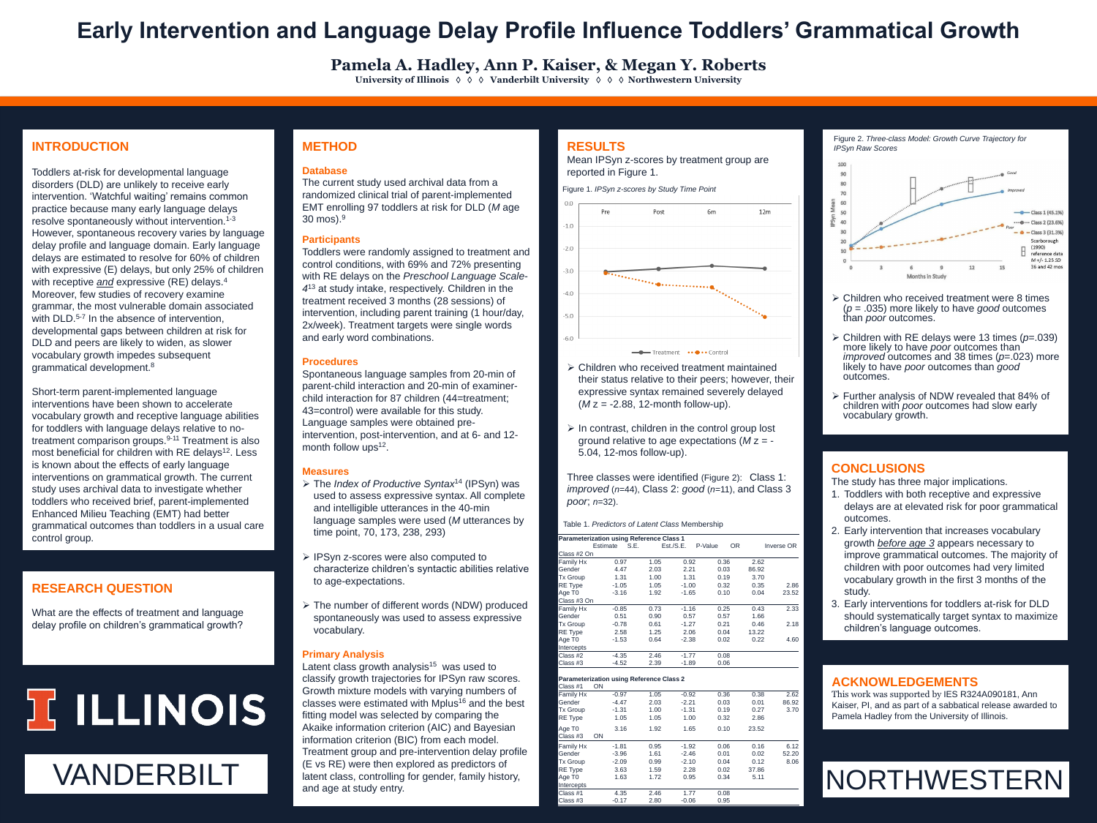### **RESULTS**

Mean IPSyn z-scores by treatment group are reported in Figure 1.

- Children who received treatment maintained their status relative to their peers; however, their expressive syntax remained severely delayed  $(Mz = -2.88, 12$ -month follow-up).
- $\triangleright$  In contrast, children in the control group lost ground relative to age expectations (*M* z = - 5.04, 12-mos follow-up).

Three classes were identified (Figure 2): Class 1: *improved* (*n*=44), Class 2: *good* (*n*=11), and Class 3 *poor*; *n*=32).

Toddlers at-risk for developmental language disorders (DLD) are unlikely to receive early intervention. 'Watchful waiting' remains common practice because many early language delays resolve spontaneously without intervention.1-3 However, spontaneous recovery varies by language delay profile and language domain. Early language delays are estimated to resolve for 60% of children with expressive (E) delays, but only 25% of children with receptive *and* expressive (RE) delays.<sup>4</sup> Moreover, few studies of recovery examine grammar, the most vulnerable domain associated with DLD.<sup>5-7</sup> In the absence of intervention, developmental gaps between children at risk for DLD and peers are likely to widen, as slower vocabulary growth impedes subsequent grammatical development.<sup>8</sup>

**Pamela A. Hadley, Ann P. Kaiser, & Megan Y. Roberts University of Illinois** ◊ ◊ ◊ **Vanderbilt University** ◊ ◊ ◊ **Northwestern University**

## **Early Intervention and Language Delay Profile Influence Toddlers' Grammatical Growth**

#### **ACKNOWLEDGEMENTS**

#### **RESEARCH QUESTION**

What are the effects of treatment and language delay profile on children's grammatical growth?

# JE ILLINOIS

#### **INTRODUCTION**

Spontaneous language samples from 20-min of parent-child interaction and 20-min of examinerchild interaction for 87 children (44=treatment; 43=control) were available for this study. Language samples were obtained preintervention, post-intervention, and at 6- and 12 month follow ups<sup>12</sup>.

- **≻** The *Index of Productive Syntax*<sup>14</sup> (IPSyn) was used to assess expressive syntax. All complete and intelligible utterances in the 40-min language samples were used (*M* utterances by time point, 70, 173, 238, 293)
- **► IPSyn z-scores were also computed to** characterize children's syntactic abilities relative to age-expectations.
- The number of different words (NDW) produced spontaneously was used to assess expressive vocabulary.

Short-term parent-implemented language interventions have been shown to accelerate vocabulary growth and receptive language abilities for toddlers with language delays relative to notreatment comparison groups.<sup>9-11</sup> Treatment is also most beneficial for children with RE delays<sup>12</sup>. Less is known about the effects of early language interventions on grammatical growth. The current study uses archival data to investigate whether toddlers who received brief, parent-implemented Enhanced Milieu Teaching (EMT) had better grammatical outcomes than toddlers in a usual care control group.

 $-1.0$  $-2.0$ 

 $-3.0$ 

#### $\triangleright$  Children who received treatment were 8 times (*p* = .035) more likely to have *good* outcomes than *poor* outcomes.

#### **METHOD**

#### **Database**

The current study used archival data from a randomized clinical trial of parent-implemented EMT enrolling 97 toddlers at risk for DLD (*M* age 30 mos). 9

#### **Participants**

Toddlers were randomly assigned to treatment and control conditions, with 69% and 72% presenting with RE delays on the *Preschool Language Scale-*4<sup>13</sup> at study intake, respectively. Children in the treatment received 3 months (28 sessions) of intervention, including parent training (1 hour/day, 2x/week). Treatment targets were single words and early word combinations.

#### **Procedures**

#### **Measures**

#### **Primary Analysis**

 Children with RE delays were 13 times (*p*=.039) more likely to have *poor* outcomes than *improved* outcomes and 38 times (*p*=.023) more likely to have *poor* outcomes than *good*  outcomes.

 Further analysis of NDW revealed that 84% of children with *poor* outcomes had slow early vocabulary growth.

#### **CONCLUSIONS**

The study has three major implications.

1. Toddlers with both receptive and expressive delays are at elevated risk for poor grammatical outcomes.



Figure 1. *IPSyn z-scores by Study Time Point*



Figure 2. *Three-class Model: Growth Curve Trajectory for IPSyn Raw Scores*



| <u>INTRODUCTION ON THE CONSIDER SOUTH AND THE TIME OF THE TIME OF THE TIME OF THE TIME OF THE TIME OF THE TIME OF </u><br>rol group. | time point, 70, 173, 238, 293)                               | <b>Parameterization using Reference Class 1</b><br><b>Inverse OR</b><br>Est./S.E.<br><b>OR</b><br>P-Value<br>Estimate<br>S.E. |                                                 |              |                 |              |               | 2. Early intervention that increases vocabulary<br>growth before age 3 appears necessary to |                                                            |  |
|--------------------------------------------------------------------------------------------------------------------------------------|--------------------------------------------------------------|-------------------------------------------------------------------------------------------------------------------------------|-------------------------------------------------|--------------|-----------------|--------------|---------------|---------------------------------------------------------------------------------------------|------------------------------------------------------------|--|
|                                                                                                                                      | > IPSyn z-scores were also computed to                       | Class #2 On                                                                                                                   |                                                 |              |                 |              |               |                                                                                             | improve grammatical outcomes. The majority of              |  |
|                                                                                                                                      | characterize children's syntactic abilities relative         | <b>Family Hx</b><br>Gender                                                                                                    | 0.97<br>4.47                                    | 1.05<br>2.03 | 0.92<br>2.21    | 0.36<br>0.03 | 2.62<br>86.92 |                                                                                             | children with poor outcomes had very limited               |  |
|                                                                                                                                      | to age-expectations.                                         | <b>Tx Group</b>                                                                                                               | 1.31                                            | 1.00         | 1.31            | 0.19         | 3.70          |                                                                                             | vocabulary growth in the first 3 months of the             |  |
| <b>SEARCH QUESTION</b>                                                                                                               |                                                              | <b>RE Type</b>                                                                                                                | $-1.05$                                         | 1.05         | $-1.00$         | 0.32         | 0.35          | 2.86                                                                                        |                                                            |  |
|                                                                                                                                      |                                                              | Age T <sub>0</sub><br>Class #3 On                                                                                             | $-3.16$                                         | 1.92         | $-1.65$         | 0.10         | 0.04          | 23.52                                                                                       | study.                                                     |  |
|                                                                                                                                      | > The number of different words (NDW) produced               | <b>Family Hx</b>                                                                                                              | $-0.85$                                         | 0.73         |                 | 0.25         | 0.43          | 2.33                                                                                        | 3. Early interventions for toddlers at-risk for DLD        |  |
| t are the effects of treatment and language                                                                                          | spontaneously was used to assess expressive                  | Gender                                                                                                                        | 0.51                                            | 0.90         |                 | 0.57         | 1.66          |                                                                                             | should systematically target syntax to maximize            |  |
| y profile on children's grammatical growth?                                                                                          | vocabulary.                                                  | <b>Tx Group</b>                                                                                                               | $-0.78$                                         | 0.61         | $-1.27$         | 0.21         | 0.46          | 2.18                                                                                        | children's language outcomes.                              |  |
|                                                                                                                                      |                                                              | RE Type<br>Age T0                                                                                                             | 2.58<br>$-1.53$                                 | 1.25<br>0.64 | 2.06<br>$-2.38$ | 0.04<br>0.02 | 13.22<br>0.22 | 4.60                                                                                        |                                                            |  |
|                                                                                                                                      |                                                              | Intercepts                                                                                                                    |                                                 |              |                 |              |               |                                                                                             |                                                            |  |
|                                                                                                                                      | <b>Primary Analysis</b>                                      | Class #2                                                                                                                      | $-4.35$                                         | 2.46         | $-1.77$         | 0.08         |               |                                                                                             |                                                            |  |
|                                                                                                                                      | Latent class growth analysis <sup>15</sup> was used to       | Class #3                                                                                                                      | $-4.52$                                         | 2.39         | $-1.89$         | 0.06         |               |                                                                                             |                                                            |  |
|                                                                                                                                      | classify growth trajectories for IPSyn raw scores.           |                                                                                                                               | <b>Parameterization using Reference Class 2</b> |              |                 |              |               | <b>ACKNOWLEDGEMENTS</b>                                                                     |                                                            |  |
|                                                                                                                                      | Growth mixture models with varying numbers of                | Class #1 ON                                                                                                                   |                                                 |              |                 |              |               |                                                                                             |                                                            |  |
|                                                                                                                                      |                                                              | <b>Family Hx</b>                                                                                                              | $-0.97$                                         | 1.05         |                 | 0.36         | 0.38          | 2.62                                                                                        | This work was supported by IES R324A090181, Ann            |  |
|                                                                                                                                      | classes were estimated with Mplus <sup>16</sup> and the best | Gender<br><b>Tx Group</b>                                                                                                     | $-4.47$<br>$-1.31$                              | 2.03<br>1.00 |                 | 0.03<br>0.19 | 0.01<br>0.27  | 86.92<br>3.70                                                                               | Kaiser, PI, and as part of a sabbatical release awarded to |  |
| ILLINOIS.                                                                                                                            | fitting model was selected by comparing the                  | <b>RE Type</b>                                                                                                                | 1.05                                            | 1.05         | 1,00            | 0.32         | 2.86          |                                                                                             | Pamela Hadley from the University of Illinois.             |  |
|                                                                                                                                      | Akaike information criterion (AIC) and Bayesian              | Age T <sub>0</sub>                                                                                                            | 3.16                                            | 1.92         |                 |              | 23.52         |                                                                                             |                                                            |  |
|                                                                                                                                      | information criterion (BIC) from each model.                 | Class #3<br>ON                                                                                                                |                                                 |              |                 |              |               |                                                                                             |                                                            |  |
|                                                                                                                                      |                                                              | <b>T</b> Family Hx                                                                                                            | $-1.81$                                         | 0.95         | $-1.92$         | 0.06         | 0.16          | 6.12                                                                                        |                                                            |  |
|                                                                                                                                      | Treatment group and pre-intervention delay profile           | Gender                                                                                                                        | $-3.96$                                         | 1.61         | $-2.46$         | 0.01         | 0.02          | 52.20                                                                                       |                                                            |  |
|                                                                                                                                      | (E vs RE) were then explored as predictors of                | <b>Tx Group</b>                                                                                                               | $-2.09$                                         | 0.99         | $-2.10$         | 0.04         | 0.12<br>37.86 | 8.06                                                                                        |                                                            |  |
| VANDERBILT                                                                                                                           | latent class, controlling for gender, family history,        | RE Type<br>Age T <sub>0</sub>                                                                                                 | 3.63<br>1.63                                    | 1.59<br>1.72 | 2.28<br>0.95    | 0.02<br>0.34 | 5.11          |                                                                                             |                                                            |  |
|                                                                                                                                      | and age at study entry.                                      | <b>Intercepts</b>                                                                                                             |                                                 |              |                 |              |               |                                                                                             | <b>INORTHWESTERNI</b>                                      |  |
|                                                                                                                                      |                                                              | Class #1                                                                                                                      | 4.35                                            | 2.46         | 1.77            | 0.08<br>0.95 |               |                                                                                             |                                                            |  |
|                                                                                                                                      |                                                              | Class #3                                                                                                                      | $-0.17$                                         | 2.80         | $-0.06$         |              |               |                                                                                             |                                                            |  |

|  | Table 1. Predictors of Latent Class Membership |  |  |  |
|--|------------------------------------------------|--|--|--|
|  |                                                |  |  |  |